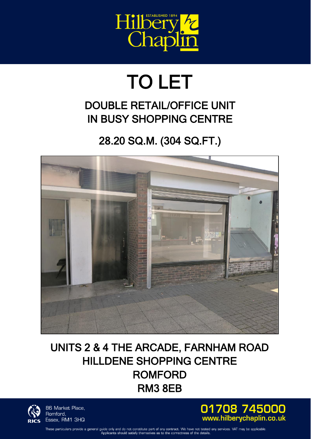

## TO LET

## DOUBLE RETAIL/OFFICE UNIT IN BUSY SHOPPING CENTRE

## 28.20 SQ.M. (304 SQ.FT.)



## UNITS 2 & 4 THE ARCADE, FARNHAM ROAD HILLDENE SHOPPING CENTRE ROMFORD RM3 8EB



86 Market Place, Romford, Essex, RM1 3HQ



These particulars provide a general guide only and do not constitute part of any contract. We have not tested any services. VAT may be applicable Applicants should satisfy themselves as to the correctness of the details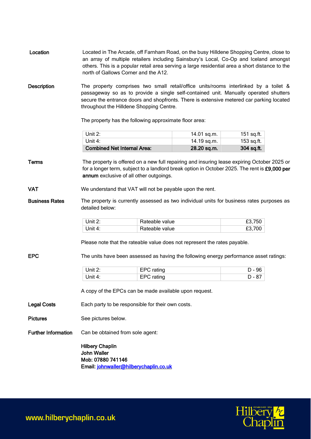| Location                   | Located in The Arcade, off Farnham Road, on the busy Hilldene Shopping Centre, close to<br>an array of multiple retailers including Sainsbury's Local, Co-Op and Iceland amongst<br>others. This is a popular retail area serving a large residential area a short distance to the<br>north of Gallows Corner and the A12. |                                                                                                                                                                                                                                                                                                                                                                                |             |                  |  |  |
|----------------------------|----------------------------------------------------------------------------------------------------------------------------------------------------------------------------------------------------------------------------------------------------------------------------------------------------------------------------|--------------------------------------------------------------------------------------------------------------------------------------------------------------------------------------------------------------------------------------------------------------------------------------------------------------------------------------------------------------------------------|-------------|------------------|--|--|
| <b>Description</b>         |                                                                                                                                                                                                                                                                                                                            | The property comprises two small retail/office units/rooms interlinked by a toilet &<br>passageway so as to provide a single self-contained unit. Manually operated shutters<br>secure the entrance doors and shopfronts. There is extensive metered car parking located<br>throughout the Hilldene Shopping Centre.<br>The property has the following approximate floor area: |             |                  |  |  |
|                            | Unit 2:                                                                                                                                                                                                                                                                                                                    |                                                                                                                                                                                                                                                                                                                                                                                | 14.01 sq.m. | 151 sq.ft.       |  |  |
|                            |                                                                                                                                                                                                                                                                                                                            |                                                                                                                                                                                                                                                                                                                                                                                |             |                  |  |  |
|                            | Unit 4:<br><b>Combined Net Internal Area:</b>                                                                                                                                                                                                                                                                              |                                                                                                                                                                                                                                                                                                                                                                                | 14.19 sq.m. | 153 sq.ft.       |  |  |
|                            |                                                                                                                                                                                                                                                                                                                            |                                                                                                                                                                                                                                                                                                                                                                                | 28.20 sq.m. | 304 sq.ft.       |  |  |
| <b>Terms</b>               | The property is offered on a new full repairing and insuring lease expiring October 2025 or<br>for a longer term, subject to a landlord break option in October 2025. The rent is £9,000 per<br>annum exclusive of all other outgoings.                                                                                    |                                                                                                                                                                                                                                                                                                                                                                                |             |                  |  |  |
| <b>VAT</b>                 | We understand that VAT will not be payable upon the rent.                                                                                                                                                                                                                                                                  |                                                                                                                                                                                                                                                                                                                                                                                |             |                  |  |  |
| <b>Business Rates</b>      | detailed below:<br>Unit 2:<br>Unit 4:                                                                                                                                                                                                                                                                                      | The property is currently assessed as two individual units for business rates purposes as<br>Rateable value<br>Rateable value<br>Please note that the rateable value does not represent the rates payable.                                                                                                                                                                     |             | £3,750<br>£3,700 |  |  |
| <b>EPC</b>                 | The units have been assessed as having the following energy performance asset ratings:                                                                                                                                                                                                                                     |                                                                                                                                                                                                                                                                                                                                                                                |             |                  |  |  |
|                            | Unit 2:                                                                                                                                                                                                                                                                                                                    | <b>EPC</b> rating                                                                                                                                                                                                                                                                                                                                                              |             | $D - 96$         |  |  |
|                            | Unit 4:                                                                                                                                                                                                                                                                                                                    | <b>EPC</b> rating                                                                                                                                                                                                                                                                                                                                                              |             | $D - 87$         |  |  |
| <b>Legal Costs</b>         | A copy of the EPCs can be made available upon request.<br>Each party to be responsible for their own costs.                                                                                                                                                                                                                |                                                                                                                                                                                                                                                                                                                                                                                |             |                  |  |  |
|                            |                                                                                                                                                                                                                                                                                                                            |                                                                                                                                                                                                                                                                                                                                                                                |             |                  |  |  |
| <b>Pictures</b>            | See pictures below.                                                                                                                                                                                                                                                                                                        |                                                                                                                                                                                                                                                                                                                                                                                |             |                  |  |  |
| <b>Further Information</b> | Can be obtained from sole agent:                                                                                                                                                                                                                                                                                           |                                                                                                                                                                                                                                                                                                                                                                                |             |                  |  |  |
|                            | <b>Hilbery Chaplin</b><br><b>John Waller</b><br>Mob: 07880 741146<br>Email: johnwaller@hilberychaplin.co.uk                                                                                                                                                                                                                |                                                                                                                                                                                                                                                                                                                                                                                |             |                  |  |  |



www.hilberychaplin.co.uk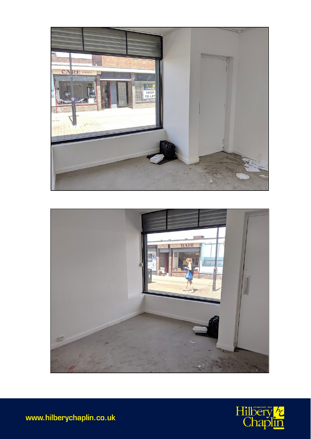





www.hilberychaplin.co.uk